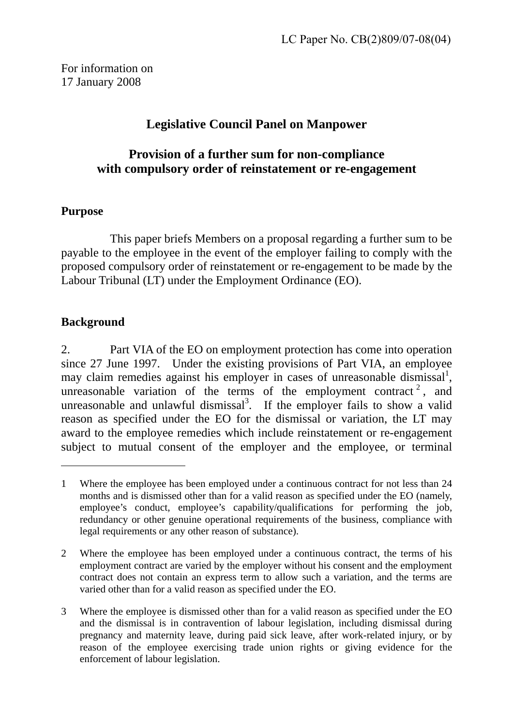For information on 17 January 2008

# **Legislative Council Panel on Manpower**

## **Provision of a further sum for non-compliance with compulsory order of reinstatement or re-engagement**

#### **Purpose**

This paper briefs Members on a proposal regarding a further sum to be payable to the employee in the event of the employer failing to comply with the proposed compulsory order of reinstatement or re-engagement to be made by the Labour Tribunal (LT) under the Employment Ordinance (EO).

## **Background**

 $\overline{a}$ 

2. Part VIA of the EO on employment protection has come into operation since 27 June 1997. Under the existing provisions of Part VIA, an employee may claim remedies against his employer in cases of unreasonable dismissal<sup>1</sup>[,](#page-0-0) unreasonable variation of the terms of the employment contract<sup>[2](#page-0-1)</sup>, and unreasonable and unlawful dismissal<sup>3</sup>[.](#page-0-2) If the employer fails to show a valid reason as specified under the EO for the dismissal or variation, the LT may award to the employee remedies which include reinstatement or re-engagement subject to mutual consent of the employer and the employee, or terminal

<span id="page-0-0"></span><sup>1</sup> Where the employee has been employed under a continuous contract for not less than 24 months and is dismissed other than for a valid reason as specified under the EO (namely, employee's conduct, employee's capability/qualifications for performing the job, redundancy or other genuine operational requirements of the business, compliance with legal requirements or any other reason of substance).

<span id="page-0-1"></span><sup>2</sup> Where the employee has been employed under a continuous contract, the terms of his employment contract are varied by the employer without his consent and the employment contract does not contain an express term to allow such a variation, and the terms are varied other than for a valid reason as specified under the EO.

<span id="page-0-2"></span><sup>3</sup> Where the employee is dismissed other than for a valid reason as specified under the EO and the dismissal is in contravention of labour legislation, including dismissal during pregnancy and maternity leave, during paid sick leave, after work-related injury, or by reason of the employee exercising trade union rights or giving evidence for the enforcement of labour legislation.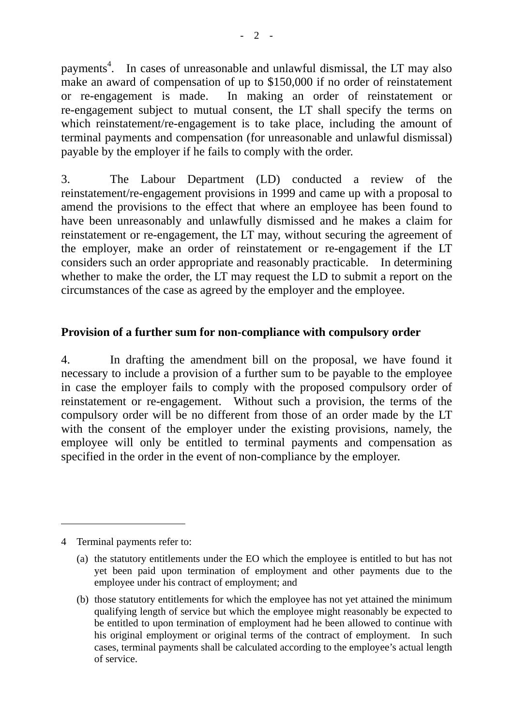payments<sup>[4](#page-1-0)</sup>. In cases of unreasonable and unlawful dismissal, the LT may also make an award of compensation of up to \$150,000 if no order of reinstatement or re-engagement is made. In making an order of reinstatement or re-engagement subject to mutual consent, the LT shall specify the terms on which reinstatement/re-engagement is to take place, including the amount of terminal payments and compensation (for unreasonable and unlawful dismissal) payable by the employer if he fails to comply with the order.

3. The Labour Department (LD) conducted a review of the reinstatement/re-engagement provisions in 1999 and came up with a proposal to amend the provisions to the effect that where an employee has been found to have been unreasonably and unlawfully dismissed and he makes a claim for reinstatement or re-engagement, the LT may, without securing the agreement of the employer, make an order of reinstatement or re-engagement if the LT considers such an order appropriate and reasonably practicable. In determining whether to make the order, the LT may request the LD to submit a report on the circumstances of the case as agreed by the employer and the employee.

#### **Provision of a further sum for non-compliance with compulsory order**

4. In drafting the amendment bill on the proposal, we have found it necessary to include a provision of a further sum to be payable to the employee in case the employer fails to comply with the proposed compulsory order of reinstatement or re-engagement. Without such a provision, the terms of the compulsory order will be no different from those of an order made by the LT with the consent of the employer under the existing provisions, namely, the employee will only be entitled to terminal payments and compensation as specified in the order in the event of non-compliance by the employer.

<span id="page-1-0"></span>4 Terminal payments refer to:

 $\overline{a}$ 

<sup>(</sup>a) the statutory entitlements under the EO which the employee is entitled to but has not yet been paid upon termination of employment and other payments due to the employee under his contract of employment; and

<sup>(</sup>b) those statutory entitlements for which the employee has not yet attained the minimum qualifying length of service but which the employee might reasonably be expected to be entitled to upon termination of employment had he been allowed to continue with his original employment or original terms of the contract of employment. In such cases, terminal payments shall be calculated according to the employee's actual length of service.